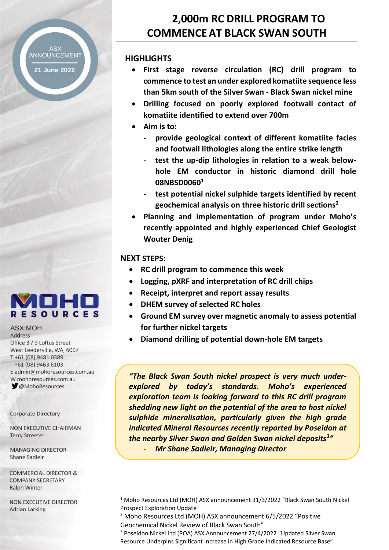# ANNOUNCEMENT

**21 June 2022**

# **2,000m RC DRILL PROGRAM TO COMMENCEAT BLACK SWAN SOUTH**

# **HIGHLIGHTS**

- **First stage reverse circulation (RC) drill program to commence to test an under explored komatiite sequence less than 5km south of the Silver Swan - Black Swan nickel mine**
- **Drilling focused on poorly explored footwall contact of komatiite identified to extend over 700m**
- **Aim is to:**
	- **provide geological context of different komatiite facies and footwall lithologies along the entire strike length**
	- **test the up-dip lithologies in relation to a weak belowhole EM conductor in historic diamond drill hole 08NBSD0060<sup>1</sup>**
	- **test potential nickel sulphide targets identified by recent geochemical analysis on three historic drill sections<sup>2</sup>**
- **Planning and implementation of program under Moho's recently appointed and highly experienced Chief Geologist Wouter Denig**

# **NEXT STEPS:**

- **RC drill program to commence this week**
- **Logging, pXRF and interpretation of RC drill chips**
- **Receipt, interpret and report assay results**
- **DHEM survey of selected RC holes**
- **Ground EM survey over magnetic anomaly to assess potential for further nickel targets**
- **Diamond drilling of potential down-hole EM targets**

*"The Black Swan South nickel prospect is very much underexplored by today's standards. Moho's experienced exploration team is looking forward to this RC drill program shedding new light on the potential of the area to host nickel sulphide mineralisation, particularly given the high grade indicated Mineral Resources recently reported by Poseidon at the nearby Silver Swan and Golden Swan nickel deposits<sup>3</sup> "* - *Mr Shane Sadleir, Managing Director*

<sup>1</sup> Moho Resources Ltd (MOH) ASX announcement 31/3/2022 "Black Swan South Nickel Prospect Exploration Update

<sup>2</sup> Moho Resources Ltd (MOH) ASX announcement 6/5/2022 "Positive Geochemical Nickel Review of Black Swan South"

<sup>3</sup> Poseidon Nickel Ltd (POA) ASX Announcement 27/4/2022 "Updated Silver Swan Resource Underpins Significant Increase in High Grade Indicated Resource Base"



#### **ASX:MOH** Address

Office 3 / 9 Loftus Street West Leederville, WA, 6007 T+61 (08) 9481 0389 +61 (08) 9463 6103 E admin@mohoresources.com.au W mohoresources.com.au **MohoResources** 

**Corporate Directory** 

NON EXECUTIVE CHAIRMAN **Terry Streeter** 

**MANAGING DIRECTOR** Shane Sadleir

**COMMERCIAL DIRECTOR & COMPANY SECRETARY Ralph Winter** 

**NON EXECUTIVE DIRECTOR Adrian Larking**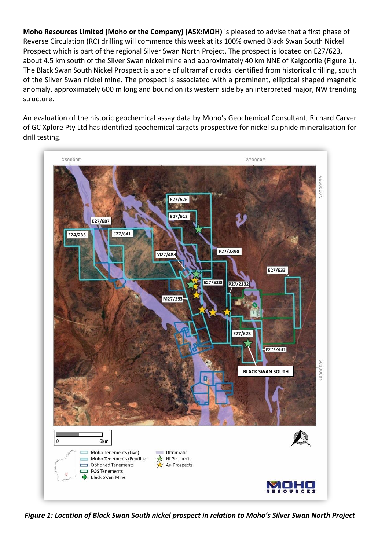**Moho Resources Limited (Moho or the Company) (ASX:MOH)** is pleased to advise that a first phase of Reverse Circulation (RC) drilling will commence this week at its 100% owned Black Swan South Nickel Prospect which is part of the regional Silver Swan North Project. The prospect is located on E27/623, about 4.5 km south of the Silver Swan nickel mine and approximately 40 km NNE of Kalgoorlie (Figure 1). The Black Swan South Nickel Prospect is a zone of ultramafic rocks identified from historical drilling, south of the Silver Swan nickel mine. The prospect is associated with a prominent, elliptical shaped magnetic anomaly, approximately 600 m long and bound on its western side by an interpreted major, NW trending structure.

An evaluation of the historic geochemical assay data by Moho's Geochemical Consultant, Richard Carver of GC Xplore Pty Ltd has identified geochemical targets prospective for nickel sulphide mineralisation for drill testing.



*Figure 1: Location of Black Swan South nickel prospect in relation to Moho's Silver Swan North Project*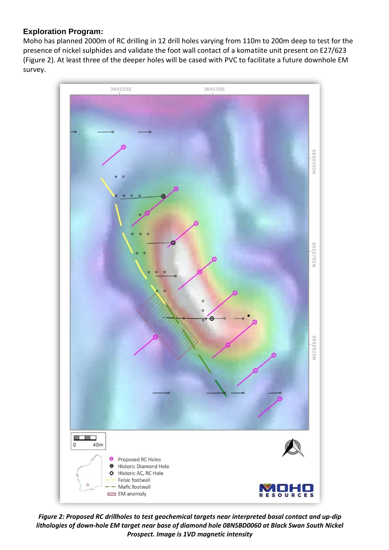# **Exploration Program:**

Moho has planned 2000m of RC drilling in 12 drill holes varying from 110m to 200m deep to test for the presence of nickel sulphides and validate the foot wall contact of a komatiite unit present on E27/623 (Figure 2). At least three of the deeper holes will be cased with PVC to facilitate a future downhole EM survey.



*Figure 2: Proposed RC drillholes to test geochemical targets near interpreted basal contact and up-dip lithologies of down-hole EM target near base of diamond hole 08NSBD0060 at Black Swan South Nickel Prospect. Image is 1VD magnetic intensity*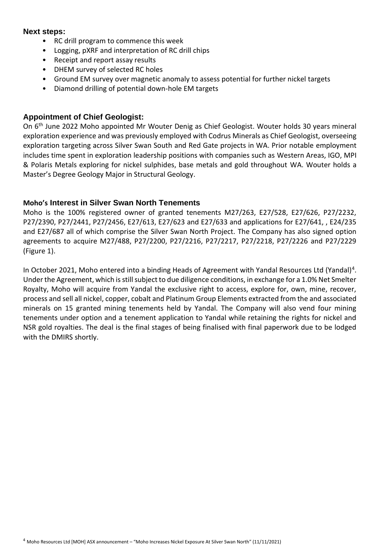#### **Next steps:**

- RC drill program to commence this week
- Logging, pXRF and interpretation of RC drill chips
- Receipt and report assay results
- DHEM survey of selected RC holes
- Ground EM survey over magnetic anomaly to assess potential for further nickel targets
- Diamond drilling of potential down-hole EM targets

### **Appointment of Chief Geologist:**

On 6<sup>th</sup> June 2022 Moho appointed Mr Wouter Denig as Chief Geologist. Wouter holds 30 years mineral exploration experience and was previously employed with Codrus Minerals as Chief Geologist, overseeing exploration targeting across Silver Swan South and Red Gate projects in WA. Prior notable employment includes time spent in exploration leadership positions with companies such as Western Areas, IGO, MPI & Polaris Metals exploring for nickel sulphides, base metals and gold throughout WA. Wouter holds a Master's Degree Geology Major in Structural Geology.

#### **Moho's Interest in Silver Swan North Tenements**

Moho is the 100% registered owner of granted tenements M27/263, E27/528, E27/626, P27/2232, P27/2390, P27/2441, P27/2456, E27/613, E27/623 and E27/633 and applications for E27/641, , E24/235 and E27/687 all of which comprise the Silver Swan North Project. The Company has also signed option agreements to acquire M27/488, P27/2200, P27/2216, P27/2217, P27/2218, P27/2226 and P27/2229 (Figure 1).

In October 2021, Moho entered into a binding Heads of Agreement with Yandal Resources Ltd (Yandal)<sup>4</sup>. Under the Agreement, which is still subject to due diligence conditions, in exchange for a 1.0% Net Smelter Royalty, Moho will acquire from Yandal the exclusive right to access, explore for, own, mine, recover, process and sell all nickel, copper, cobalt and Platinum Group Elements extracted from the and associated minerals on 15 granted mining tenements held by Yandal. The Company will also vend four mining tenements under option and a tenement application to Yandal while retaining the rights for nickel and NSR gold royalties. The deal is the final stages of being finalised with final paperwork due to be lodged with the DMIRS shortly.